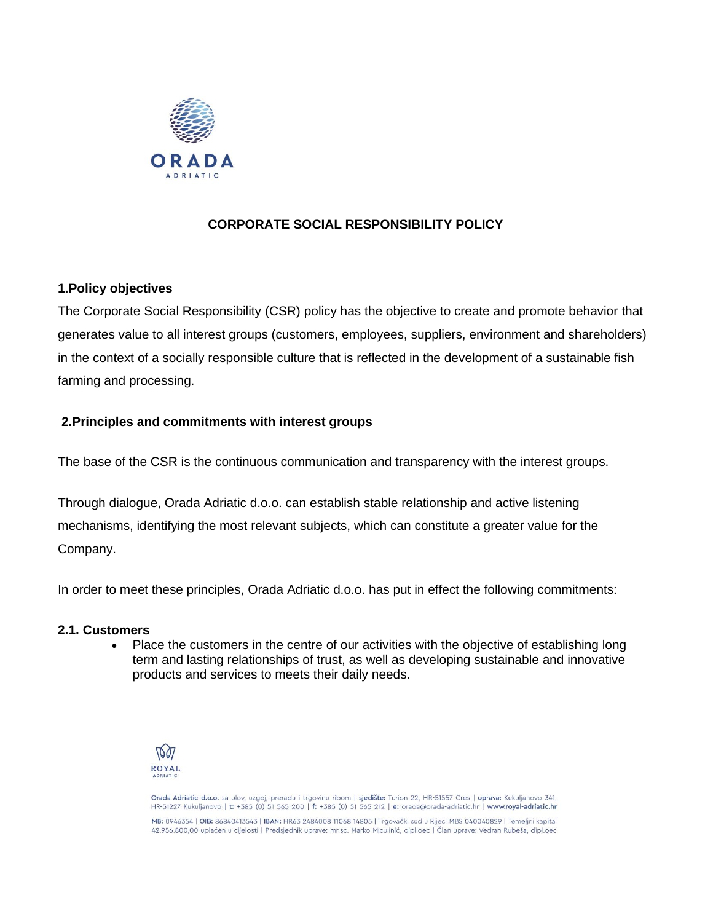

# **CORPORATE SOCIAL RESPONSIBILITY POLICY**

## **1.Policy objectives**

The Corporate Social Responsibility (CSR) policy has the objective to create and promote behavior that generates value to all interest groups (customers, employees, suppliers, environment and shareholders) in the context of a socially responsible culture that is reflected in the development of a sustainable fish farming and processing.

## **2.Principles and commitments with interest groups**

The base of the CSR is the continuous communication and transparency with the interest groups.

Through dialogue, Orada Adriatic d.o.o. can establish stable relationship and active listening mechanisms, identifying the most relevant subjects, which can constitute a greater value for the Company.

In order to meet these principles, Orada Adriatic d.o.o. has put in effect the following commitments:

### **2.1. Customers**

• Place the customers in the centre of our activities with the objective of establishing long term and lasting relationships of trust, as well as developing sustainable and innovative products and services to meets their daily needs.



Orada Adriatic d.o.o. za ulov, uzgoj, preradu i trgovinu ribom | sjedište: Turion 22, HR-51557 Cres | uprava: Kukuljanovo 341, HR-51227 Kukuljanovo | t: +385 (0) 51 565 200 | f: +385 (0) 51 565 212 | e: orada@orada-adriatic.hr | www.royal-adriatic.hr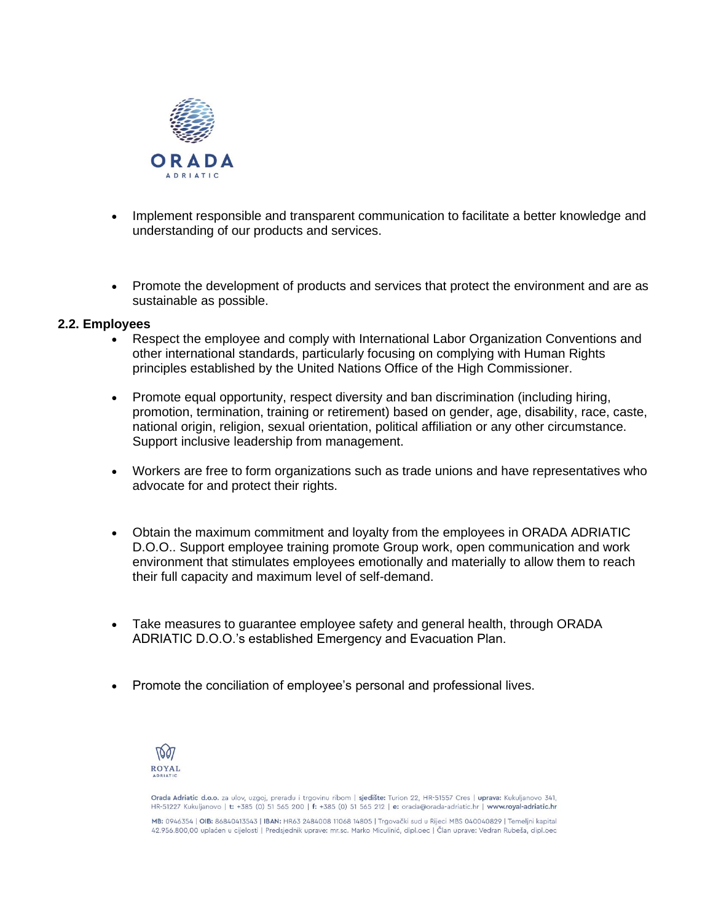

- Implement responsible and transparent communication to facilitate a better knowledge and understanding of our products and services.
- Promote the development of products and services that protect the environment and are as sustainable as possible.

### **2.2. Employees**

- Respect the employee and comply with International Labor Organization Conventions and other international standards, particularly focusing on complying with Human Rights principles established by the United Nations Office of the High Commissioner.
- Promote equal opportunity, respect diversity and ban discrimination (including hiring, promotion, termination, training or retirement) based on gender, age, disability, race, caste, national origin, religion, sexual orientation, political affiliation or any other circumstance. Support inclusive leadership from management.
- Workers are free to form organizations such as trade unions and have representatives who advocate for and protect their rights.
- Obtain the maximum commitment and loyalty from the employees in ORADA ADRIATIC D.O.O.. Support employee training promote Group work, open communication and work environment that stimulates employees emotionally and materially to allow them to reach their full capacity and maximum level of self-demand.
- Take measures to guarantee employee safety and general health, through ORADA ADRIATIC D.O.O.'s established Emergency and Evacuation Plan.
- Promote the conciliation of employee's personal and professional lives.



Orada Adriatic d.o.o. za ulov, uzgoj, preradu i trgovinu ribom | sjedište: Turion 22, HR-51557 Cres | uprava: Kukuljanovo 341, HR-51227 Kukuljanovo | t: +385 (0) 51 565 200 | f: +385 (0) 51 565 212 | e: orada@orada-adriatic.hr | www.royal-adriatic.hr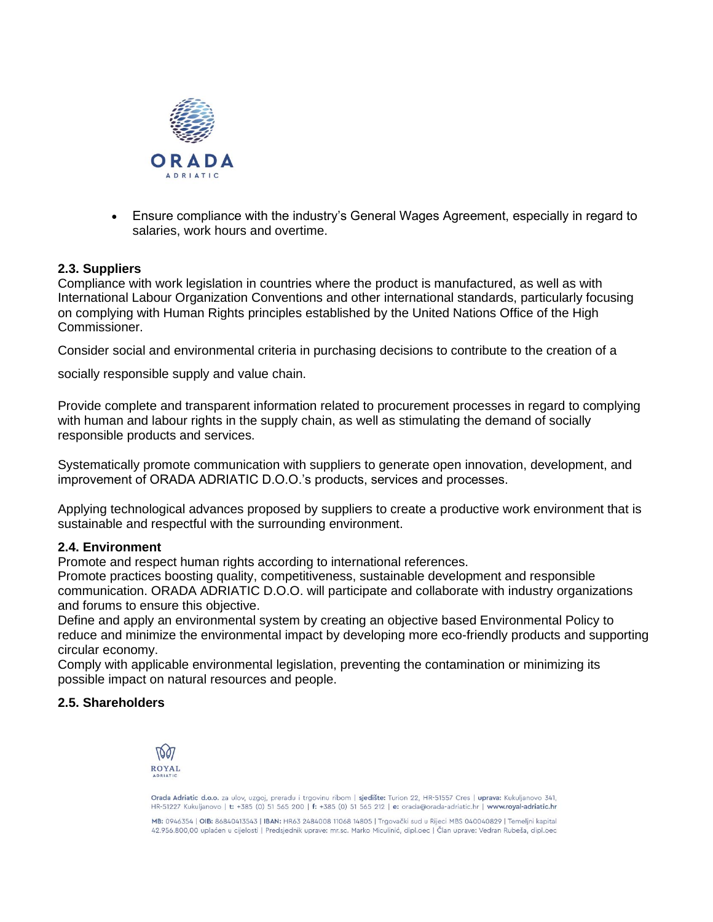

• Ensure compliance with the industry's General Wages Agreement, especially in regard to salaries, work hours and overtime.

### **2.3. Suppliers**

Compliance with work legislation in countries where the product is manufactured, as well as with International Labour Organization Conventions and other international standards, particularly focusing on complying with Human Rights principles established by the United Nations Office of the High Commissioner.

Consider social and environmental criteria in purchasing decisions to contribute to the creation of a

socially responsible supply and value chain.

Provide complete and transparent information related to procurement processes in regard to complying with human and labour rights in the supply chain, as well as stimulating the demand of socially responsible products and services.

Systematically promote communication with suppliers to generate open innovation, development, and improvement of ORADA ADRIATIC D.O.O.'s products, services and processes.

Applying technological advances proposed by suppliers to create a productive work environment that is sustainable and respectful with the surrounding environment.

#### **2.4. Environment**

Promote and respect human rights according to international references.

Promote practices boosting quality, competitiveness, sustainable development and responsible communication. ORADA ADRIATIC D.O.O. will participate and collaborate with industry organizations and forums to ensure this objective.

Define and apply an environmental system by creating an objective based Environmental Policy to reduce and minimize the environmental impact by developing more eco-friendly products and supporting circular economy.

Comply with applicable environmental legislation, preventing the contamination or minimizing its possible impact on natural resources and people.

### **2.5. Shareholders**



Orada Adriatic d.o.o. za ulov, uzgoj, preradu i trgovinu ribom | sjedište: Turion 22, HR-51557 Cres | uprava: Kukuljanovo 341, HR-51227 Kukulianovo | t: +385 (0) 51 565 200 | f: +385 (0) 51 565 212 | e: orada@orada-adriatic.hr | www.royal-adriatic.hr